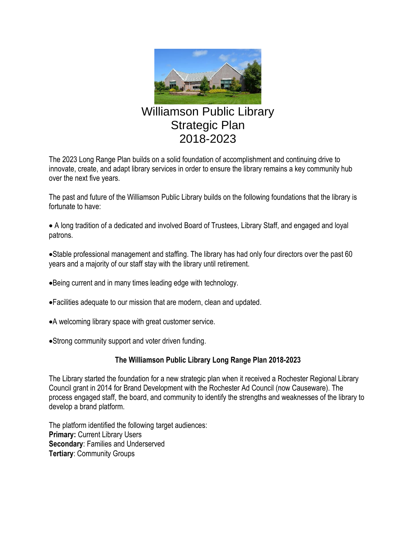

# Williamson Public Library Strategic Plan 2018-2023

The 2023 Long Range Plan builds on a solid foundation of accomplishment and continuing drive to innovate, create, and adapt library services in order to ensure the library remains a key community hub over the next five years.

The past and future of the Williamson Public Library builds on the following foundations that the library is fortunate to have:

• A long tradition of a dedicated and involved Board of Trustees, Library Staff, and engaged and loyal patrons.

•Stable professional management and staffing. The library has had only four directors over the past 60 years and a majority of our staff stay with the library until retirement.

- •Being current and in many times leading edge with technology.
- •Facilities adequate to our mission that are modern, clean and updated.
- •A welcoming library space with great customer service.
- •Strong community support and voter driven funding.

# **The Williamson Public Library Long Range Plan 2018-2023**

The Library started the foundation for a new strategic plan when it received a Rochester Regional Library Council grant in 2014 for Brand Development with the Rochester Ad Council (now Causeware). The process engaged staff, the board, and community to identify the strengths and weaknesses of the library to develop a brand platform.

The platform identified the following target audiences: **Primary:** Current Library Users **Secondary**: Families and Underserved **Tertiary**: Community Groups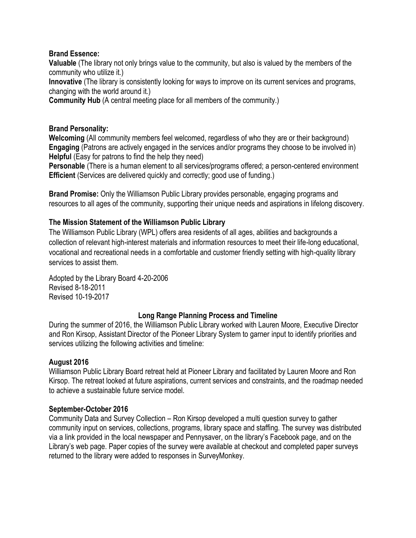### **Brand Essence:**

**Valuable** (The library not only brings value to the community, but also is valued by the members of the community who utilize it.)

**Innovative** (The library is consistently looking for ways to improve on its current services and programs, changing with the world around it.)

**Community Hub** (A central meeting place for all members of the community.)

### **Brand Personality:**

**Welcoming** (All community members feel welcomed, regardless of who they are or their background) **Engaging** (Patrons are actively engaged in the services and/or programs they choose to be involved in) **Helpful** (Easy for patrons to find the help they need)

**Personable** (There is a human element to all services/programs offered; a person-centered environment **Efficient** (Services are delivered quickly and correctly; good use of funding.)

**Brand Promise:** Only the Williamson Public Library provides personable, engaging programs and resources to all ages of the community, supporting their unique needs and aspirations in lifelong discovery.

# **The Mission Statement of the Williamson Public Library**

The Williamson Public Library (WPL) offers area residents of all ages, abilities and backgrounds a collection of relevant high-interest materials and information resources to meet their life-long educational, vocational and recreational needs in a comfortable and customer friendly setting with high-quality library services to assist them.

Adopted by the Library Board 4-20-2006 Revised 8-18-2011 Revised 10-19-2017

### **Long Range Planning Process and Timeline**

During the summer of 2016, the Williamson Public Library worked with Lauren Moore, Executive Director and Ron Kirsop, Assistant Director of the Pioneer Library System to garner input to identify priorities and services utilizing the following activities and timeline:

### **August 2016**

Williamson Public Library Board retreat held at Pioneer Library and facilitated by Lauren Moore and Ron Kirsop. The retreat looked at future aspirations, current services and constraints, and the roadmap needed to achieve a sustainable future service model.

### **September-October 2016**

Community Data and Survey Collection – Ron Kirsop developed a multi question survey to gather community input on services, collections, programs, library space and staffing. The survey was distributed via a link provided in the local newspaper and Pennysaver, on the library's Facebook page, and on the Library's web page. Paper copies of the survey were available at checkout and completed paper surveys returned to the library were added to responses in SurveyMonkey.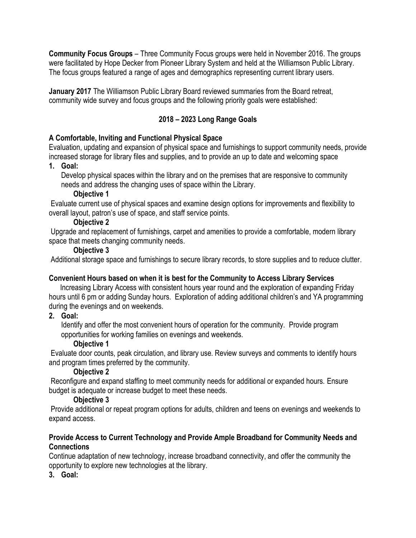**Community Focus Groups** – Three Community Focus groups were held in November 2016. The groups were facilitated by Hope Decker from Pioneer Library System and held at the Williamson Public Library. The focus groups featured a range of ages and demographics representing current library users.

**January 2017** The Williamson Public Library Board reviewed summaries from the Board retreat, community wide survey and focus groups and the following priority goals were established:

# **2018 – 2023 Long Range Goals**

# **A Comfortable, Inviting and Functional Physical Space**

Evaluation, updating and expansion of physical space and furnishings to support community needs, provide increased storage for library files and supplies, and to provide an up to date and welcoming space

# **1. Goal:**

Develop physical spaces within the library and on the premises that are responsive to community needs and address the changing uses of space within the Library.

#### **Objective 1**

Evaluate current use of physical spaces and examine design options for improvements and flexibility to overall layout, patron's use of space, and staff service points.

### **Objective 2**

Upgrade and replacement of furnishings, carpet and amenities to provide a comfortable, modern library space that meets changing community needs.

### **Objective 3**

Additional storage space and furnishings to secure library records, to store supplies and to reduce clutter.

### **Convenient Hours based on when it is best for the Community to Access Library Services**

 Increasing Library Access with consistent hours year round and the exploration of expanding Friday hours until 6 pm or adding Sunday hours. Exploration of adding additional children's and YA programming during the evenings and on weekends.

### **2. Goal:**

Identify and offer the most convenient hours of operation for the community. Provide program opportunities for working families on evenings and weekends.

### **Objective 1**

Evaluate door counts, peak circulation, and library use. Review surveys and comments to identify hours and program times preferred by the community.

# **Objective 2**

Reconfigure and expand staffing to meet community needs for additional or expanded hours. Ensure budget is adequate or increase budget to meet these needs.

# **Objective 3**

Provide additional or repeat program options for adults, children and teens on evenings and weekends to expand access.

#### **Provide Access to Current Technology and Provide Ample Broadband for Community Needs and Connections**

Continue adaptation of new technology, increase broadband connectivity, and offer the community the opportunity to explore new technologies at the library.

**3. Goal:**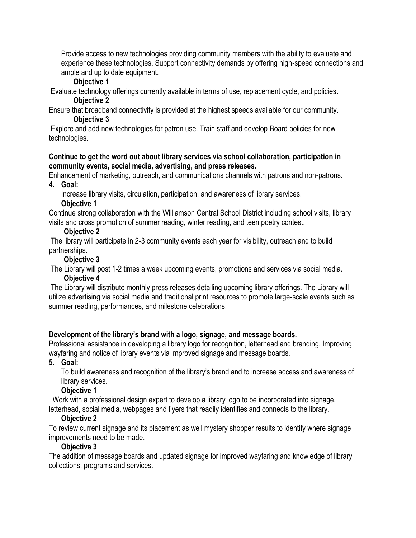Provide access to new technologies providing community members with the ability to evaluate and experience these technologies. Support connectivity demands by offering high-speed connections and ample and up to date equipment.

### **Objective 1**

Evaluate technology offerings currently available in terms of use, replacement cycle, and policies. **Objective 2**

Ensure that broadband connectivity is provided at the highest speeds available for our community. **Objective 3**

Explore and add new technologies for patron use. Train staff and develop Board policies for new technologies.

#### **Continue to get the word out about library services via school collaboration, participation in community events, social media, advertising, and press releases.**

Enhancement of marketing, outreach, and communications channels with patrons and non-patrons.

**4. Goal:**

Increase library visits, circulation, participation, and awareness of library services.

### **Objective 1**

Continue strong collaboration with the Williamson Central School District including school visits, library visits and cross promotion of summer reading, winter reading, and teen poetry contest.

# **Objective 2**

The library will participate in 2-3 community events each year for visibility, outreach and to build partnerships.

# **Objective 3**

The Library will post 1-2 times a week upcoming events, promotions and services via social media.

# **Objective 4**

The Library will distribute monthly press releases detailing upcoming library offerings. The Library will utilize advertising via social media and traditional print resources to promote large-scale events such as summer reading, performances, and milestone celebrations.

# **Development of the library's brand with a logo, signage, and message boards.**

Professional assistance in developing a library logo for recognition, letterhead and branding. Improving wayfaring and notice of library events via improved signage and message boards.

**5. Goal:**

To build awareness and recognition of the library's brand and to increase access and awareness of library services.

# **Objective 1**

 Work with a professional design expert to develop a library logo to be incorporated into signage, letterhead, social media, webpages and flyers that readily identifies and connects to the library.

# **Objective 2**

To review current signage and its placement as well mystery shopper results to identify where signage improvements need to be made.

# **Objective 3**

The addition of message boards and updated signage for improved wayfaring and knowledge of library collections, programs and services.